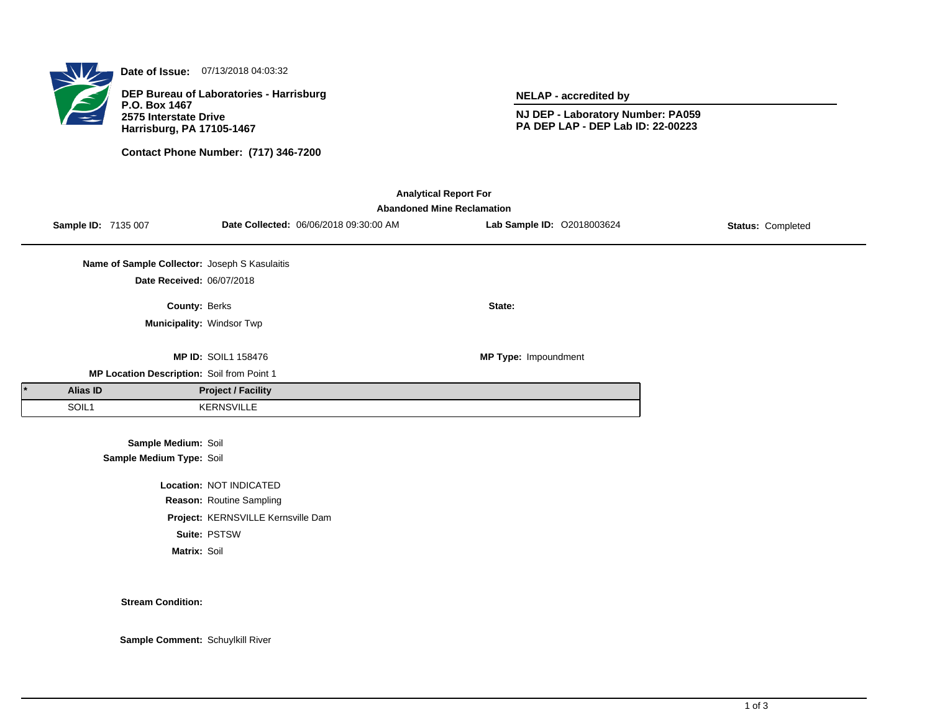

**Date of Issue:** 07/13/2018 04:03:32

**DEP Bureau of Laboratories - Harrisburg P.O. Box 1467 2575 Interstate Drive Harrisburg, PA 17105-1467**

**Contact Phone Number: (717) 346-7200**

**NELAP - accredited by**

**NJ DEP - Laboratory Number: PA059 PA DEP LAP - DEP Lab ID: 22-00223**

| <b>Analytical Report For</b> |                                   |                                               |                                    |                                        |                            |                   |  |  |  |  |  |
|------------------------------|-----------------------------------|-----------------------------------------------|------------------------------------|----------------------------------------|----------------------------|-------------------|--|--|--|--|--|
|                              | <b>Abandoned Mine Reclamation</b> |                                               |                                    |                                        |                            |                   |  |  |  |  |  |
|                              | Sample ID: 7135 007               |                                               |                                    | Date Collected: 06/06/2018 09:30:00 AM | Lab Sample ID: 02018003624 | Status: Completed |  |  |  |  |  |
|                              |                                   |                                               |                                    |                                        |                            |                   |  |  |  |  |  |
|                              |                                   | Name of Sample Collector: Joseph S Kasulaitis |                                    |                                        |                            |                   |  |  |  |  |  |
|                              |                                   | Date Received: 06/07/2018                     |                                    |                                        |                            |                   |  |  |  |  |  |
|                              |                                   | County: Berks                                 |                                    |                                        | State:                     |                   |  |  |  |  |  |
|                              |                                   | Municipality: Windsor Twp                     |                                    |                                        |                            |                   |  |  |  |  |  |
|                              |                                   |                                               |                                    |                                        |                            |                   |  |  |  |  |  |
|                              |                                   |                                               | <b>MP ID: SOIL1 158476</b>         |                                        | MP Type: Impoundment       |                   |  |  |  |  |  |
|                              |                                   | MP Location Description: Soil from Point 1    |                                    |                                        |                            |                   |  |  |  |  |  |
|                              | Alias ID                          |                                               | <b>Project / Facility</b>          |                                        |                            |                   |  |  |  |  |  |
|                              | SOIL1                             |                                               | <b>KERNSVILLE</b>                  |                                        |                            |                   |  |  |  |  |  |
|                              |                                   |                                               |                                    |                                        |                            |                   |  |  |  |  |  |
|                              |                                   | Sample Medium: Soil                           |                                    |                                        |                            |                   |  |  |  |  |  |
|                              |                                   | Sample Medium Type: Soil                      |                                    |                                        |                            |                   |  |  |  |  |  |
|                              |                                   |                                               | Location: NOT INDICATED            |                                        |                            |                   |  |  |  |  |  |
|                              |                                   |                                               | Reason: Routine Sampling           |                                        |                            |                   |  |  |  |  |  |
|                              |                                   |                                               | Project: KERNSVILLE Kernsville Dam |                                        |                            |                   |  |  |  |  |  |

**Suite:** PSTSW

**Matrix:** Soil

**Stream Condition:**

**Sample Comment:** Schuylkill River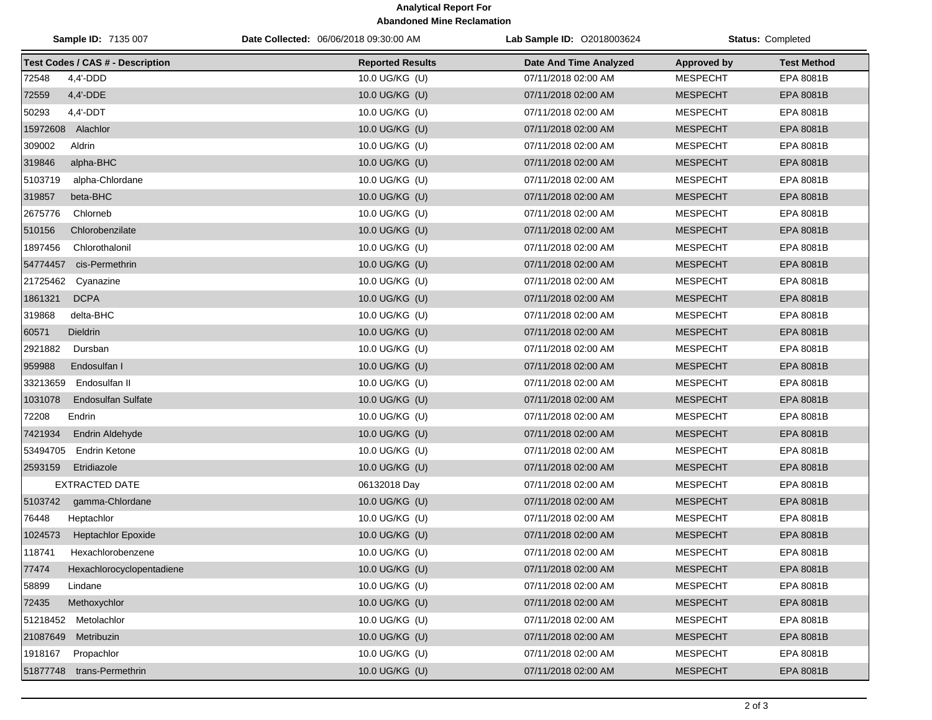## **Analytical Report For Abandoned Mine Reclamation**

| Sample ID: 7135 007                     | Date Collected: 06/06/2018 09:30:00 AM | <b>Lab Sample ID: 02018003624</b> | <b>Status: Completed</b> |                    |
|-----------------------------------------|----------------------------------------|-----------------------------------|--------------------------|--------------------|
| <b>Test Codes / CAS # - Description</b> | <b>Reported Results</b>                | Date And Time Analyzed            | <b>Approved by</b>       | <b>Test Method</b> |
| 72548<br>$4,4'$ -DDD                    | 10.0 UG/KG (U)                         | 07/11/2018 02:00 AM               | <b>MESPECHT</b>          | EPA 8081B          |
| 72559<br>4,4'-DDE                       | 10.0 UG/KG (U)                         | 07/11/2018 02:00 AM               | <b>MESPECHT</b>          | EPA 8081B          |
| 50293<br>$4,4'$ -DDT                    | 10.0 UG/KG (U)                         | 07/11/2018 02:00 AM               | <b>MESPECHT</b>          | <b>EPA 8081B</b>   |
| 15972608 Alachlor                       | 10.0 UG/KG (U)                         | 07/11/2018 02:00 AM               | <b>MESPECHT</b>          | EPA 8081B          |
| 309002<br>Aldrin                        | 10.0 UG/KG (U)                         | 07/11/2018 02:00 AM               | <b>MESPECHT</b>          | EPA 8081B          |
| 319846<br>alpha-BHC                     | 10.0 UG/KG (U)                         | 07/11/2018 02:00 AM               | <b>MESPECHT</b>          | EPA 8081B          |
| 5103719<br>alpha-Chlordane              | 10.0 UG/KG (U)                         | 07/11/2018 02:00 AM               | <b>MESPECHT</b>          | EPA 8081B          |
| 319857<br>beta-BHC                      | 10.0 UG/KG (U)                         | 07/11/2018 02:00 AM               | <b>MESPECHT</b>          | EPA 8081B          |
| 2675776<br>Chlorneb                     | 10.0 UG/KG (U)                         | 07/11/2018 02:00 AM               | <b>MESPECHT</b>          | EPA 8081B          |
| 510156<br>Chlorobenzilate               | 10.0 UG/KG (U)                         | 07/11/2018 02:00 AM               | <b>MESPECHT</b>          | EPA 8081B          |
| 1897456<br>Chlorothalonil               | 10.0 UG/KG (U)                         | 07/11/2018 02:00 AM               | <b>MESPECHT</b>          | EPA 8081B          |
| cis-Permethrin<br>54774457              | 10.0 UG/KG (U)                         | 07/11/2018 02:00 AM               | <b>MESPECHT</b>          | EPA 8081B          |
| 21725462<br>Cyanazine                   | 10.0 UG/KG (U)                         | 07/11/2018 02:00 AM               | <b>MESPECHT</b>          | EPA 8081B          |
| 1861321<br><b>DCPA</b>                  | 10.0 UG/KG (U)                         | 07/11/2018 02:00 AM               | <b>MESPECHT</b>          | EPA 8081B          |
| 319868<br>delta-BHC                     | 10.0 UG/KG (U)                         | 07/11/2018 02:00 AM               | <b>MESPECHT</b>          | EPA 8081B          |
| 60571<br><b>Dieldrin</b>                | 10.0 UG/KG (U)                         | 07/11/2018 02:00 AM               | <b>MESPECHT</b>          | EPA 8081B          |
| 2921882<br>Dursban                      | 10.0 UG/KG (U)                         | 07/11/2018 02:00 AM               | <b>MESPECHT</b>          | <b>EPA 8081B</b>   |
| 959988<br>Endosulfan I                  | 10.0 UG/KG (U)                         | 07/11/2018 02:00 AM               | <b>MESPECHT</b>          | EPA 8081B          |
| 33213659<br>Endosulfan II               | 10.0 UG/KG (U)                         | 07/11/2018 02:00 AM               | <b>MESPECHT</b>          | EPA 8081B          |
| 1031078<br><b>Endosulfan Sulfate</b>    | 10.0 UG/KG (U)                         | 07/11/2018 02:00 AM               | <b>MESPECHT</b>          | EPA 8081B          |
| 72208<br>Endrin                         | 10.0 UG/KG (U)                         | 07/11/2018 02:00 AM               | <b>MESPECHT</b>          | EPA 8081B          |
| 7421934<br><b>Endrin Aldehyde</b>       | 10.0 UG/KG (U)                         | 07/11/2018 02:00 AM               | <b>MESPECHT</b>          | EPA 8081B          |
| 53494705<br>Endrin Ketone               | 10.0 UG/KG (U)                         | 07/11/2018 02:00 AM               | <b>MESPECHT</b>          | EPA 8081B          |
| 2593159<br>Etridiazole                  | 10.0 UG/KG (U)                         | 07/11/2018 02:00 AM               | <b>MESPECHT</b>          | EPA 8081B          |
| <b>EXTRACTED DATE</b>                   | 06132018 Day                           | 07/11/2018 02:00 AM               | <b>MESPECHT</b>          | EPA 8081B          |
| 5103742<br>gamma-Chlordane              | 10.0 UG/KG (U)                         | 07/11/2018 02:00 AM               | <b>MESPECHT</b>          | EPA 8081B          |
| 76448<br>Heptachlor                     | 10.0 UG/KG (U)                         | 07/11/2018 02:00 AM               | <b>MESPECHT</b>          | EPA 8081B          |
| 1024573<br><b>Heptachlor Epoxide</b>    | 10.0 UG/KG (U)                         | 07/11/2018 02:00 AM               | <b>MESPECHT</b>          | EPA 8081B          |
| 118741<br>Hexachlorobenzene             | 10.0 UG/KG (U)                         | 07/11/2018 02:00 AM               | <b>MESPECHT</b>          | EPA 8081B          |
| 77474<br>Hexachlorocyclopentadiene      | 10.0 UG/KG (U)                         | 07/11/2018 02:00 AM               | <b>MESPECHT</b>          | EPA 8081B          |
| 58899<br>Lindane                        | 10.0 UG/KG (U)                         | 07/11/2018 02:00 AM               | <b>MESPECHT</b>          | EPA 8081B          |
| Methoxychlor<br>72435                   | 10.0 UG/KG (U)                         | 07/11/2018 02:00 AM               | <b>MESPECHT</b>          | EPA 8081B          |
| 51218452 Metolachlor                    | 10.0 UG/KG (U)                         | 07/11/2018 02:00 AM               | <b>MESPECHT</b>          | EPA 8081B          |
| 21087649<br>Metribuzin                  | 10.0 UG/KG (U)                         | 07/11/2018 02:00 AM               | <b>MESPECHT</b>          | EPA 8081B          |
| 1918167<br>Propachlor                   | 10.0 UG/KG (U)                         | 07/11/2018 02:00 AM               | <b>MESPECHT</b>          | EPA 8081B          |
| 51877748 trans-Permethrin               | 10.0 UG/KG (U)                         | 07/11/2018 02:00 AM               | <b>MESPECHT</b>          | EPA 8081B          |